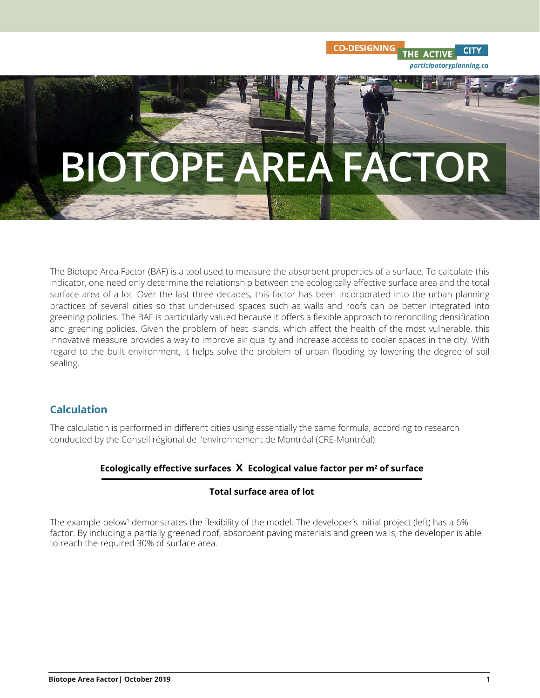

**CO-DESIGNING** 

**CITY** 

THE ACTIVE

participatoryplanning.ca

The Biotope Area Factor (BAF) is a tool used to measure the absorbent properties of a surface. To calculate this indicator, one need only determine the relationship between the ecologically effective surface area and the total surface area of a lot. Over the last three decades, this factor has been incorporated into the urban planning practices of several cities so that under-used spaces such as walls and roofs can be better integrated into greening policies. The BAF is particularly valued because it offers a flexible approach to reconciling densification and greening policies. Given the problem of heat islands, which affect the health of the most vulnerable, this innovative measure provides a way to improve air quality and increase access to cooler spaces in the city. With regard to the built environment, it helps solve the problem of urban flooding by lowering the degree of soil sealing.

# **Calculation**

The calculation is performed in different cities using essentially the same formula, according to research conducted by the Conseil régional de l'environnement de Montréal (CRE-Montréal):

## **Ecologically effective surfaces X Ecological value factor per m<sup>2</sup> of surface**

### **Total surface area of lot**

The example below<sup>1</sup> demonstrates the flexibility of the model. The developer's initial project (left) has a 6% factor. By including a partially greened roof, absorbent paving materials and green walls, the developer is able to reach the required 30% of surface area.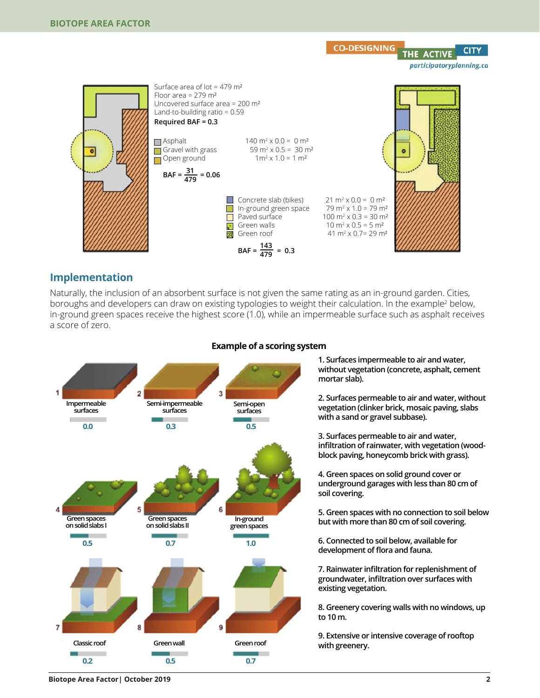

### **Implementation**

Naturally, the inclusion of an absorbent surface is not given the same rating as an in-ground garden. Cities, boroughs and developers can draw on existing typologies to weight their calculation. In the example<sup>2</sup> below, in-ground green spaces receive the highest score (1.0), while an impermeable surface such as asphalt receives a score of zero.



#### **Example of a scoring system**

**1. Surfaces impermeable to air and water, without vegetation (concrete, asphalt, cement mortar slab).**

**2. Surfaces permeable to air and water, without vegetation (clinker brick, mosaic paving, slabs with a sand or gravel subbase).**

**3. Surfaces permeable to air and water, infiltration of rainwater, with vegetation (woodblock paving, honeycomb brick with grass).**

**4. Green spaces on solid ground cover or underground garages with less than 80 cm of soil covering.**

**5. Green spaces with no connection to soil below but with more than 80 cm of soil covering.**

**6. Connected to soil below, available for development of flora and fauna.**

**7. Rainwater infiltration for replenishment of groundwater, infiltration over surfaces with existing vegetation.**

**8. Greenery covering walls with no windows, up to 10 m.**

**9. Extensive or intensive coverage of rooftop with greenery.**

**Biotope Area Factor| October 2019 2**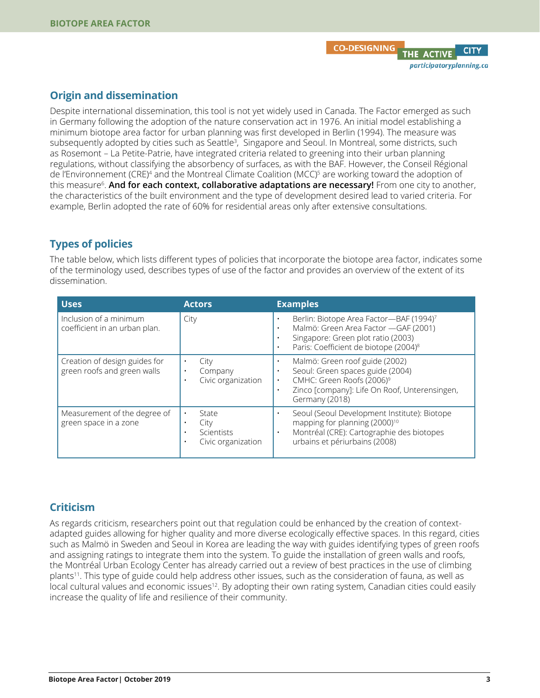## **Origin and dissemination**

Despite international dissemination, this tool is not yet widely used in Canada. The Factor emerged as such in Germany following the adoption of the nature conservation act in 1976. An initial model establishing a minimum biotope area factor for urban planning was first developed in Berlin (1994). The measure was subsequently adopted by cities such as Seattle<sup>3</sup>, Singapore and Seoul. In Montreal, some districts, such as Rosemont – La Petite-Patrie, have integrated criteria related to greening into their urban planning regulations, without classifying the absorbency of surfaces, as with the BAF. However, the Conseil Régional de l'Environnement (CRE)<sup>4</sup> and the Montreal Climate Coalition (MCC)<sup>5</sup> are working toward the adoption of this measure<sup>6</sup> . **And for each context, collaborative adaptations are necessary!** From one city to another, the characteristics of the built environment and the type of development desired lead to varied criteria. For example, Berlin adopted the rate of 60% for residential areas only after extensive consultations.

# **Types of policies**

The table below, which lists different types of policies that incorporate the biotope area factor, indicates some of the terminology used, describes types of use of the factor and provides an overview of the extent of its dissemination.

| <b>Uses</b>                                                  | <b>Actors</b>                                     | <b>Examples</b>                                                                                                                                                                                                                 |
|--------------------------------------------------------------|---------------------------------------------------|---------------------------------------------------------------------------------------------------------------------------------------------------------------------------------------------------------------------------------|
| Inclusion of a minimum<br>coefficient in an urban plan.      | City                                              | Berlin: Biotope Area Factor-BAF (1994)7<br>$\bullet$<br>Malmö: Green Area Factor - GAF (2001)<br>$\bullet$<br>Singapore: Green plot ratio (2003)<br>$\bullet$<br>Paris: Coefficient de biotope (2004) <sup>8</sup><br>$\bullet$ |
| Creation of design guides for<br>green roofs and green walls | City<br>Company<br>Civic organization             | Malmö: Green roof guide (2002)<br>Seoul: Green spaces guide (2004)<br>CMHC: Green Roofs (2006) <sup>9</sup><br>$\bullet$<br>Zinco [company]: Life On Roof, Unterensingen,<br>$\bullet$<br>Germany (2018)                        |
| Measurement of the degree of<br>green space in a zone        | State<br>City<br>Scientists<br>Civic organization | Seoul (Seoul Development Institute): Biotope<br>mapping for planning (2000) <sup>10</sup><br>Montréal (CRE): Cartographie des biotopes<br>urbains et périurbains (2008)                                                         |

# **Criticism**

As regards criticism, researchers point out that regulation could be enhanced by the creation of contextadapted guides allowing for higher quality and more diverse ecologically effective spaces. In this regard, cities such as Malmö in Sweden and Seoul in Korea are leading the way with guides identifying types of green roofs and assigning ratings to integrate them into the system. To guide the installation of green walls and roofs, the Montréal Urban Ecology Center has already carried out a review of best practices in the use of climbing plants<sup>11</sup>. This type of guide could help address other issues, such as the consideration of fauna, as well as local cultural values and economic issues<sup>12</sup>. By adopting their own rating system, Canadian cities could easily increase the quality of life and resilience of their community.